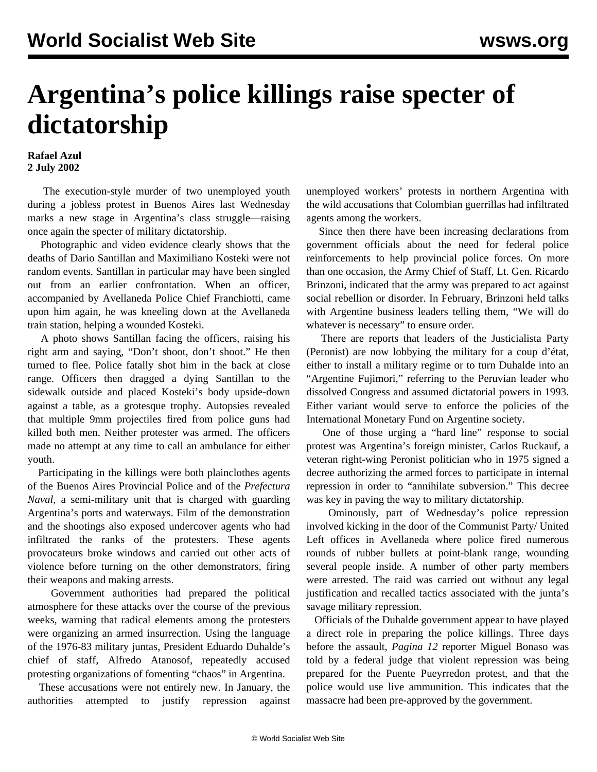## **Argentina's police killings raise specter of dictatorship**

## **Rafael Azul 2 July 2002**

 The execution-style murder of two unemployed youth during a jobless protest in Buenos Aires last Wednesday marks a new stage in Argentina's class struggle—raising once again the specter of military dictatorship.

 Photographic and video evidence clearly shows that the deaths of Dario Santillan and Maximiliano Kosteki were not random events. Santillan in particular may have been singled out from an earlier confrontation. When an officer, accompanied by Avellaneda Police Chief Franchiotti, came upon him again, he was kneeling down at the Avellaneda train station, helping a wounded Kosteki.

 A photo shows Santillan facing the officers, raising his right arm and saying, "Don't shoot, don't shoot." He then turned to flee. Police fatally shot him in the back at close range. Officers then dragged a dying Santillan to the sidewalk outside and placed Kosteki's body upside-down against a table, as a grotesque trophy. Autopsies revealed that multiple 9mm projectiles fired from police guns had killed both men. Neither protester was armed. The officers made no attempt at any time to call an ambulance for either youth.

 Participating in the killings were both plainclothes agents of the Buenos Aires Provincial Police and of the *Prefectura Naval*, a semi-military unit that is charged with guarding Argentina's ports and waterways. Film of the demonstration and the shootings also exposed undercover agents who had infiltrated the ranks of the protesters. These agents provocateurs broke windows and carried out other acts of violence before turning on the other demonstrators, firing their weapons and making arrests.

 Government authorities had prepared the political atmosphere for these attacks over the course of the previous weeks, warning that radical elements among the protesters were organizing an armed insurrection. Using the language of the 1976-83 military juntas, President Eduardo Duhalde's chief of staff, Alfredo Atanosof, repeatedly accused protesting organizations of fomenting "chaos" in Argentina.

 These accusations were not entirely new. In January, the authorities attempted to justify repression against unemployed workers' protests in northern Argentina with the wild accusations that Colombian guerrillas had infiltrated agents among the workers.

 Since then there have been increasing declarations from government officials about the need for federal police reinforcements to help provincial police forces. On more than one occasion, the Army Chief of Staff, Lt. Gen. Ricardo Brinzoni, indicated that the army was prepared to act against social rebellion or disorder. In February, Brinzoni held talks with Argentine business leaders telling them, "We will do whatever is necessary" to ensure order.

 There are reports that leaders of the Justicialista Party (Peronist) are now lobbying the military for a coup d'état, either to install a military regime or to turn Duhalde into an "Argentine Fujimori," referring to the Peruvian leader who dissolved Congress and assumed dictatorial powers in 1993. Either variant would serve to enforce the policies of the International Monetary Fund on Argentine society.

 One of those urging a "hard line" response to social protest was Argentina's foreign minister, Carlos Ruckauf, a veteran right-wing Peronist politician who in 1975 signed a decree authorizing the armed forces to participate in internal repression in order to "annihilate subversion." This decree was key in paving the way to military dictatorship.

 Ominously, part of Wednesday's police repression involved kicking in the door of the Communist Party/ United Left offices in Avellaneda where police fired numerous rounds of rubber bullets at point-blank range, wounding several people inside. A number of other party members were arrested. The raid was carried out without any legal justification and recalled tactics associated with the junta's savage military repression.

 Officials of the Duhalde government appear to have played a direct role in preparing the police killings. Three days before the assault, *Pagina 12* reporter Miguel Bonaso was told by a federal judge that violent repression was being prepared for the Puente Pueyrredon protest, and that the police would use live ammunition. This indicates that the massacre had been pre-approved by the government.